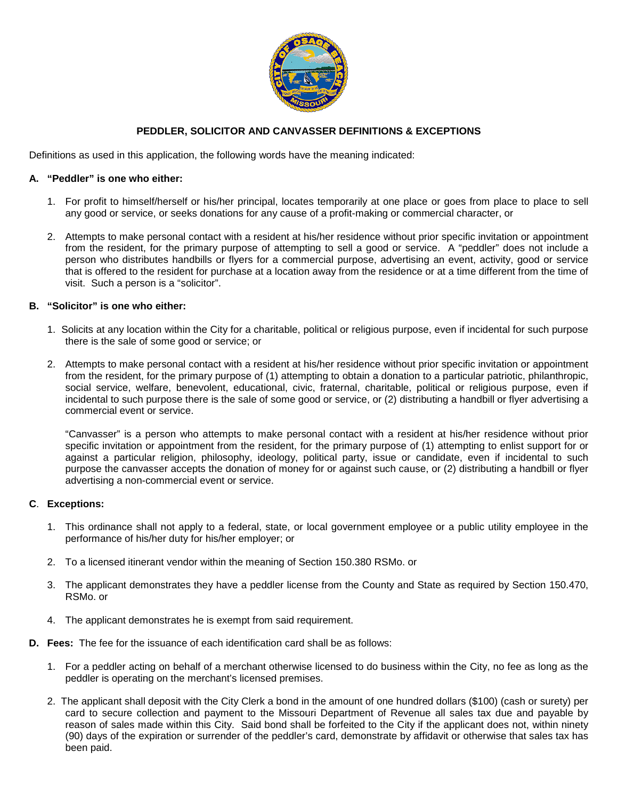

# **PEDDLER, SOLICITOR AND CANVASSER DEFINITIONS & EXCEPTIONS**

Definitions as used in this application, the following words have the meaning indicated:

## **A. "Peddler" is one who either:**

- 1. For profit to himself/herself or his/her principal, locates temporarily at one place or goes from place to place to sell any good or service, or seeks donations for any cause of a profit-making or commercial character, or
- 2. Attempts to make personal contact with a resident at his/her residence without prior specific invitation or appointment from the resident, for the primary purpose of attempting to sell a good or service. A "peddler" does not include a person who distributes handbills or flyers for a commercial purpose, advertising an event, activity, good or service that is offered to the resident for purchase at a location away from the residence or at a time different from the time of visit. Such a person is a "solicitor".

## **B. "Solicitor" is one who either:**

- 1. Solicits at any location within the City for a charitable, political or religious purpose, even if incidental for such purpose there is the sale of some good or service; or
- 2. Attempts to make personal contact with a resident at his/her residence without prior specific invitation or appointment from the resident, for the primary purpose of (1) attempting to obtain a donation to a particular patriotic, philanthropic, social service, welfare, benevolent, educational, civic, fraternal, charitable, political or religious purpose, even if incidental to such purpose there is the sale of some good or service, or (2) distributing a handbill or flyer advertising a commercial event or service.

"Canvasser" is a person who attempts to make personal contact with a resident at his/her residence without prior specific invitation or appointment from the resident, for the primary purpose of (1) attempting to enlist support for or against a particular religion, philosophy, ideology, political party, issue or candidate, even if incidental to such purpose the canvasser accepts the donation of money for or against such cause, or (2) distributing a handbill or flyer advertising a non-commercial event or service.

### **C**. **Exceptions:**

- 1. This ordinance shall not apply to a federal, state, or local government employee or a public utility employee in the performance of his/her duty for his/her employer; or
- 2. To a licensed itinerant vendor within the meaning of Section 150.380 RSMo. or
- 3. The applicant demonstrates they have a peddler license from the County and State as required by Section 150.470, RSMo. or
- 4. The applicant demonstrates he is exempt from said requirement.
- **D. Fees:** The fee for the issuance of each identification card shall be as follows:
	- 1. For a peddler acting on behalf of a merchant otherwise licensed to do business within the City, no fee as long as the peddler is operating on the merchant's licensed premises.
	- 2. The applicant shall deposit with the City Clerk a bond in the amount of one hundred dollars (\$100) (cash or surety) per card to secure collection and payment to the Missouri Department of Revenue all sales tax due and payable by reason of sales made within this City. Said bond shall be forfeited to the City if the applicant does not, within ninety (90) days of the expiration or surrender of the peddler's card, demonstrate by affidavit or otherwise that sales tax has been paid.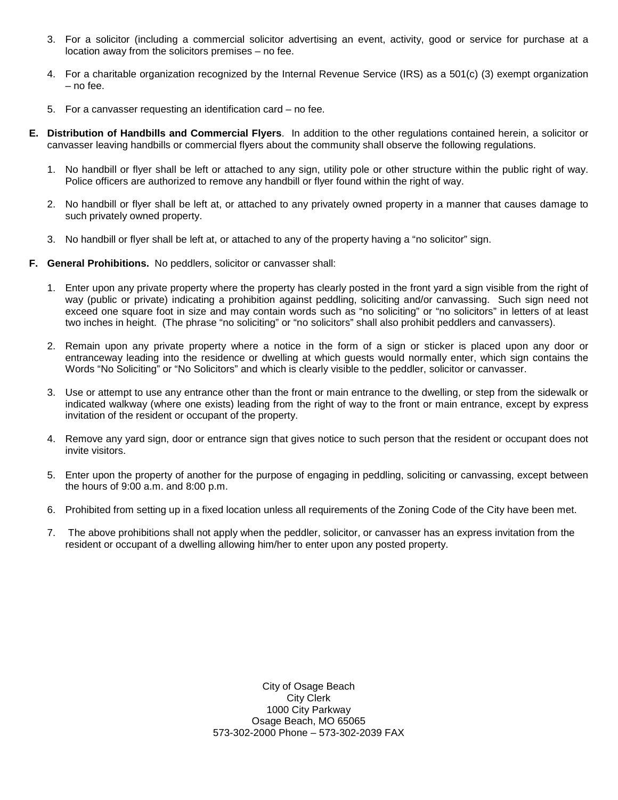- 3. For a solicitor (including a commercial solicitor advertising an event, activity, good or service for purchase at a location away from the solicitors premises – no fee.
- 4. For a charitable organization recognized by the Internal Revenue Service (IRS) as a 501(c) (3) exempt organization – no fee.
- 5. For a canvasser requesting an identification card no fee.
- **E. Distribution of Handbills and Commercial Flyers**. In addition to the other regulations contained herein, a solicitor or canvasser leaving handbills or commercial flyers about the community shall observe the following regulations.
	- 1. No handbill or flyer shall be left or attached to any sign, utility pole or other structure within the public right of way. Police officers are authorized to remove any handbill or flyer found within the right of way.
	- 2. No handbill or flyer shall be left at, or attached to any privately owned property in a manner that causes damage to such privately owned property.
	- 3. No handbill or flyer shall be left at, or attached to any of the property having a "no solicitor" sign.
- **F. General Prohibitions.** No peddlers, solicitor or canvasser shall:
	- 1. Enter upon any private property where the property has clearly posted in the front yard a sign visible from the right of way (public or private) indicating a prohibition against peddling, soliciting and/or canvassing. Such sign need not exceed one square foot in size and may contain words such as "no soliciting" or "no solicitors" in letters of at least two inches in height. (The phrase "no soliciting" or "no solicitors" shall also prohibit peddlers and canvassers).
	- 2. Remain upon any private property where a notice in the form of a sign or sticker is placed upon any door or entranceway leading into the residence or dwelling at which guests would normally enter, which sign contains the Words "No Soliciting" or "No Solicitors" and which is clearly visible to the peddler, solicitor or canvasser.
	- 3. Use or attempt to use any entrance other than the front or main entrance to the dwelling, or step from the sidewalk or indicated walkway (where one exists) leading from the right of way to the front or main entrance, except by express invitation of the resident or occupant of the property.
	- 4. Remove any yard sign, door or entrance sign that gives notice to such person that the resident or occupant does not invite visitors.
	- 5. Enter upon the property of another for the purpose of engaging in peddling, soliciting or canvassing, except between the hours of 9:00 a.m. and 8:00 p.m.
	- 6. Prohibited from setting up in a fixed location unless all requirements of the Zoning Code of the City have been met.
	- 7. The above prohibitions shall not apply when the peddler, solicitor, or canvasser has an express invitation from the resident or occupant of a dwelling allowing him/her to enter upon any posted property.

City of Osage Beach City Clerk 1000 City Parkway Osage Beach, MO 65065 573-302-2000 Phone – 573-302-2039 FAX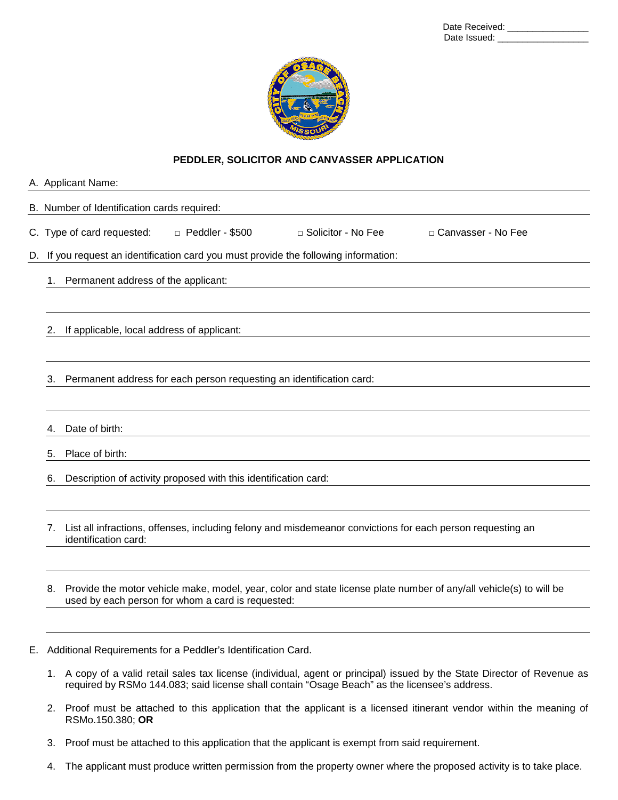| Date Received: |  |
|----------------|--|
| Date Issued:   |  |



#### **PEDDLER, SOLICITOR AND CANVASSER APPLICATION**

|    |                                                                                   | A. Applicant Name:                                              |                        |                                                                                                            |                                                                                                                    |  |  |  |  |
|----|-----------------------------------------------------------------------------------|-----------------------------------------------------------------|------------------------|------------------------------------------------------------------------------------------------------------|--------------------------------------------------------------------------------------------------------------------|--|--|--|--|
|    |                                                                                   | B. Number of Identification cards required:                     |                        |                                                                                                            |                                                                                                                    |  |  |  |  |
|    |                                                                                   | C. Type of card requested:                                      | $\Box$ Peddler - \$500 | □ Solicitor - No Fee                                                                                       | □ Canvasser - No Fee                                                                                               |  |  |  |  |
| D. | If you request an identification card you must provide the following information: |                                                                 |                        |                                                                                                            |                                                                                                                    |  |  |  |  |
|    |                                                                                   | 1. Permanent address of the applicant:                          |                        |                                                                                                            |                                                                                                                    |  |  |  |  |
|    |                                                                                   |                                                                 |                        |                                                                                                            |                                                                                                                    |  |  |  |  |
|    | 2.                                                                                | If applicable, local address of applicant:                      |                        |                                                                                                            |                                                                                                                    |  |  |  |  |
|    |                                                                                   |                                                                 |                        |                                                                                                            |                                                                                                                    |  |  |  |  |
|    | 3.                                                                                |                                                                 |                        | Permanent address for each person requesting an identification card:                                       |                                                                                                                    |  |  |  |  |
|    |                                                                                   |                                                                 |                        |                                                                                                            |                                                                                                                    |  |  |  |  |
|    | 4.                                                                                | Date of birth:                                                  |                        |                                                                                                            |                                                                                                                    |  |  |  |  |
|    | 5.                                                                                | Place of birth:                                                 |                        |                                                                                                            |                                                                                                                    |  |  |  |  |
|    | 6.                                                                                | Description of activity proposed with this identification card: |                        |                                                                                                            |                                                                                                                    |  |  |  |  |
|    |                                                                                   |                                                                 |                        |                                                                                                            |                                                                                                                    |  |  |  |  |
|    | 7.                                                                                | identification card:                                            |                        | List all infractions, offenses, including felony and misdemeanor convictions for each person requesting an |                                                                                                                    |  |  |  |  |
|    |                                                                                   |                                                                 |                        |                                                                                                            |                                                                                                                    |  |  |  |  |
|    | 8.                                                                                | used by each person for whom a card is requested:               |                        |                                                                                                            | Provide the motor vehicle make, model, year, color and state license plate number of any/all vehicle(s) to will be |  |  |  |  |
|    |                                                                                   |                                                                 |                        |                                                                                                            |                                                                                                                    |  |  |  |  |

- E. Additional Requirements for a Peddler's Identification Card.
	- 1. A copy of a valid retail sales tax license (individual, agent or principal) issued by the State Director of Revenue as required by RSMo 144.083; said license shall contain "Osage Beach" as the licensee's address.
	- 2. Proof must be attached to this application that the applicant is a licensed itinerant vendor within the meaning of RSMo.150.380; **OR**
	- 3. Proof must be attached to this application that the applicant is exempt from said requirement.
	- 4. The applicant must produce written permission from the property owner where the proposed activity is to take place.